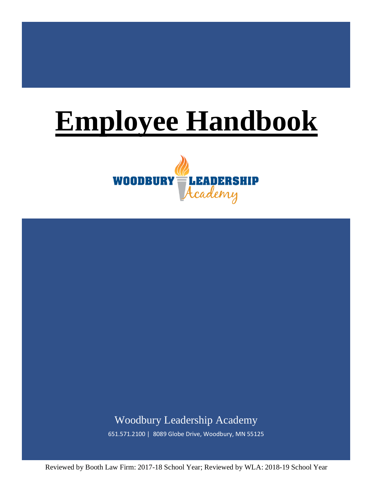# **Employee Handbook**





651.571.2100 | 8089 Globe Drive, Woodbury, MN 55125

Reviewed by Booth Law Firm: 2017-18 School Year; Reviewed by WLA: 2018-19 School Year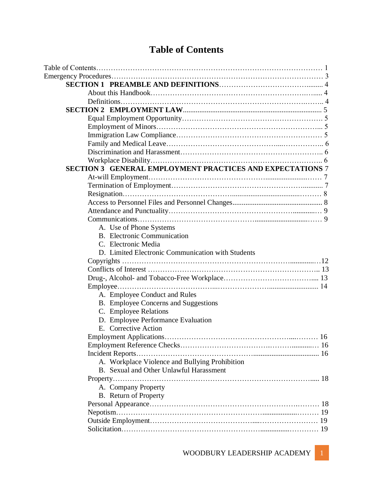# **Table of Contents**

| SECTION 3 GENERAL EMPLOYMENT PRACTICES AND EXPECTATIONS 7 |    |
|-----------------------------------------------------------|----|
|                                                           |    |
|                                                           |    |
|                                                           |    |
|                                                           |    |
|                                                           |    |
|                                                           |    |
| A. Use of Phone Systems                                   |    |
| <b>B.</b> Electronic Communication                        |    |
| C. Electronic Media                                       |    |
| D. Limited Electronic Communication with Students         |    |
|                                                           |    |
|                                                           |    |
|                                                           |    |
|                                                           |    |
| A. Employee Conduct and Rules                             |    |
| B. Employee Concerns and Suggestions                      |    |
| C. Employee Relations                                     |    |
| D. Employee Performance Evaluation                        |    |
| E. Corrective Action                                      |    |
|                                                           | 16 |
|                                                           |    |
|                                                           |    |
| A. Workplace Violence and Bullying Prohibition            |    |
| B. Sexual and Other Unlawful Harassment                   |    |
|                                                           |    |
| A. Company Property                                       |    |
| <b>B.</b> Return of Property                              |    |
|                                                           |    |
|                                                           |    |
|                                                           |    |
|                                                           |    |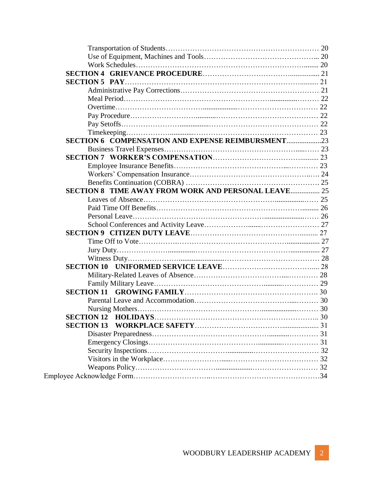| SECTION 6 COMPENSATION AND EXPENSE REIMBURSMENT23   |  |
|-----------------------------------------------------|--|
|                                                     |  |
|                                                     |  |
|                                                     |  |
|                                                     |  |
|                                                     |  |
| SECTION 8 TIME AWAY FROM WORK AND PERSONAL LEAVE 25 |  |
|                                                     |  |
|                                                     |  |
|                                                     |  |
|                                                     |  |
|                                                     |  |
|                                                     |  |
|                                                     |  |
|                                                     |  |
|                                                     |  |
|                                                     |  |
|                                                     |  |
|                                                     |  |
|                                                     |  |
|                                                     |  |
|                                                     |  |
| <b>SECTION 13</b>                                   |  |
|                                                     |  |
|                                                     |  |
|                                                     |  |
|                                                     |  |
|                                                     |  |
|                                                     |  |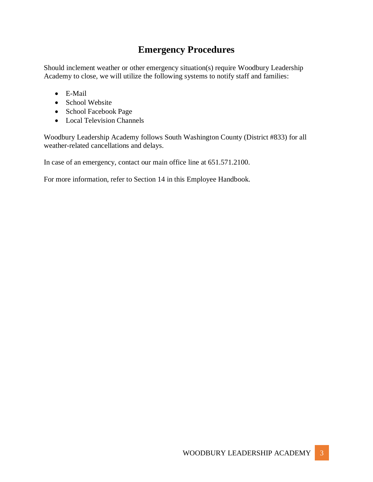## **Emergency Procedures**

Should inclement weather or other emergency situation(s) require Woodbury Leadership Academy to close, we will utilize the following systems to notify staff and families:

- E-Mail
- School Website
- School Facebook Page
- Local Television Channels

Woodbury Leadership Academy follows South Washington County (District #833) for all weather-related cancellations and delays.

In case of an emergency, contact our main office line at 651.571.2100.

For more information, refer to Section 14 in this Employee Handbook.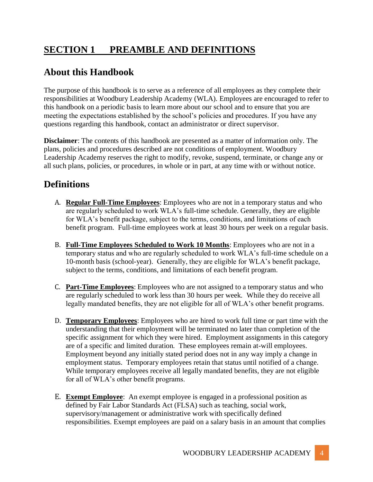# **SECTION 1 PREAMBLE AND DEFINITIONS**

#### **About this Handbook**

The purpose of this handbook is to serve as a reference of all employees as they complete their responsibilities at Woodbury Leadership Academy (WLA). Employees are encouraged to refer to this handbook on a periodic basis to learn more about our school and to ensure that you are meeting the expectations established by the school's policies and procedures. If you have any questions regarding this handbook, contact an administrator or direct supervisor.

**Disclaimer**: The contents of this handbook are presented as a matter of information only. The plans, policies and procedures described are not conditions of employment. Woodbury Leadership Academy reserves the right to modify, revoke, suspend, terminate, or change any or all such plans, policies, or procedures, in whole or in part, at any time with or without notice.

#### **Definitions**

- A. **Regular Full-Time Employees**: Employees who are not in a temporary status and who are regularly scheduled to work WLA's full-time schedule. Generally, they are eligible for WLA's benefit package, subject to the terms, conditions, and limitations of each benefit program. Full-time employees work at least 30 hours per week on a regular basis.
- B. **Full-Time Employees Scheduled to Work 10 Months**: Employees who are not in a temporary status and who are regularly scheduled to work WLA's full-time schedule on a 10-month basis (school-year). Generally, they are eligible for WLA's benefit package, subject to the terms, conditions, and limitations of each benefit program.
- C. **Part-Time Employees**: Employees who are not assigned to a temporary status and who are regularly scheduled to work less than 30 hours per week. While they do receive all legally mandated benefits, they are not eligible for all of WLA's other benefit programs.
- D. **Temporary Employees**: Employees who are hired to work full time or part time with the understanding that their employment will be terminated no later than completion of the specific assignment for which they were hired. Employment assignments in this category are of a specific and limited duration. These employees remain at-will employees. Employment beyond any initially stated period does not in any way imply a change in employment status. Temporary employees retain that status until notified of a change. While temporary employees receive all legally mandated benefits, they are not eligible for all of WLA's other benefit programs.
- E. **Exempt Employee**: An exempt employee is engaged in a professional position as defined by Fair Labor Standards Act (FLSA) such as teaching, social work, supervisory/management or administrative work with specifically defined responsibilities. Exempt employees are paid on a salary basis in an amount that complies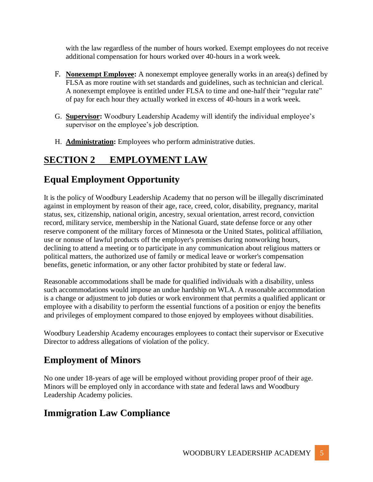with the law regardless of the number of hours worked. Exempt employees do not receive additional compensation for hours worked over 40-hours in a work week.

- F. **Nonexempt Employee:** A nonexempt employee generally works in an area(s) defined by FLSA as more routine with set standards and guidelines, such as technician and clerical. A nonexempt employee is entitled under FLSA to time and one-half their "regular rate" of pay for each hour they actually worked in excess of 40-hours in a work week.
- G. **Supervisor:** Woodbury Leadership Academy will identify the individual employee's supervisor on the employee's job description.
- H. **Administration:** Employees who perform administrative duties.

## **SECTION 2 EMPLOYMENT LAW**

## **Equal Employment Opportunity**

It is the policy of Woodbury Leadership Academy that no person will be illegally discriminated against in employment by reason of their age, race, creed, color, disability, pregnancy, marital status, sex, citizenship, national origin, ancestry, sexual orientation, arrest record, conviction record, military service, membership in the National Guard, state defense force or any other reserve component of the military forces of Minnesota or the United States, political affiliation, use or nonuse of lawful products off the employer's premises during nonworking hours, declining to attend a meeting or to participate in any communication about religious matters or political matters, the authorized use of family or medical leave or worker's compensation benefits, genetic information, or any other factor prohibited by state or federal law.

Reasonable accommodations shall be made for qualified individuals with a disability, unless such accommodations would impose an undue hardship on WLA. A reasonable accommodation is a change or adjustment to job duties or work environment that permits a qualified applicant or employee with a disability to perform the essential functions of a position or enjoy the benefits and privileges of employment compared to those enjoyed by employees without disabilities.

Woodbury Leadership Academy encourages employees to contact their supervisor or Executive Director to address allegations of violation of the policy.

## **Employment of Minors**

No one under 18-years of age will be employed without providing proper proof of their age. Minors will be employed only in accordance with state and federal laws and Woodbury Leadership Academy policies.

#### **Immigration Law Compliance**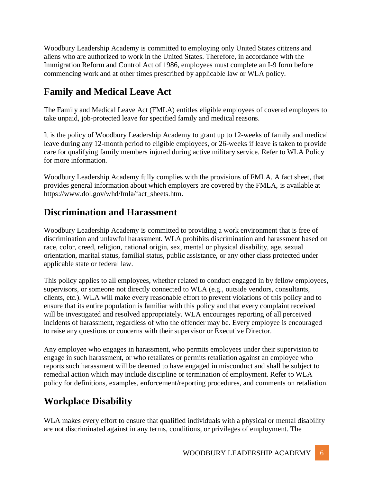Woodbury Leadership Academy is committed to employing only United States citizens and aliens who are authorized to work in the United States. Therefore, in accordance with the Immigration Reform and Control Act of 1986, employees must complete an I-9 form before commencing work and at other times prescribed by applicable law or WLA policy.

#### **Family and Medical Leave Act**

The Family and Medical Leave Act (FMLA) entitles eligible employees of covered employers to take unpaid, job-protected leave for specified family and medical reasons.

It is the policy of Woodbury Leadership Academy to grant up to 12-weeks of family and medical leave during any 12-month period to eligible employees, or 26-weeks if leave is taken to provide care for qualifying family members injured during active military service. Refer to WLA Policy for more information.

Woodbury Leadership Academy fully complies with the provisions of FMLA. A fact sheet, that provides general information about which employers are covered by the FMLA, is available at https://www.dol.gov/whd/fmla/fact\_sheets.htm.

#### **Discrimination and Harassment**

Woodbury Leadership Academy is committed to providing a work environment that is free of discrimination and unlawful harassment. WLA prohibits discrimination and harassment based on race, color, creed, religion, national origin, sex, mental or physical disability, age, sexual orientation, marital status, familial status, public assistance, or any other class protected under applicable state or federal law.

This policy applies to all employees, whether related to conduct engaged in by fellow employees, supervisors, or someone not directly connected to WLA (e.g., outside vendors, consultants, clients, etc.). WLA will make every reasonable effort to prevent violations of this policy and to ensure that its entire population is familiar with this policy and that every complaint received will be investigated and resolved appropriately. WLA encourages reporting of all perceived incidents of harassment, regardless of who the offender may be. Every employee is encouraged to raise any questions or concerns with their supervisor or Executive Director.

Any employee who engages in harassment, who permits employees under their supervision to engage in such harassment, or who retaliates or permits retaliation against an employee who reports such harassment will be deemed to have engaged in misconduct and shall be subject to remedial action which may include discipline or termination of employment. Refer to WLA policy for definitions, examples, enforcement/reporting procedures, and comments on retaliation.

## **Workplace Disability**

WLA makes every effort to ensure that qualified individuals with a physical or mental disability are not discriminated against in any terms, conditions, or privileges of employment. The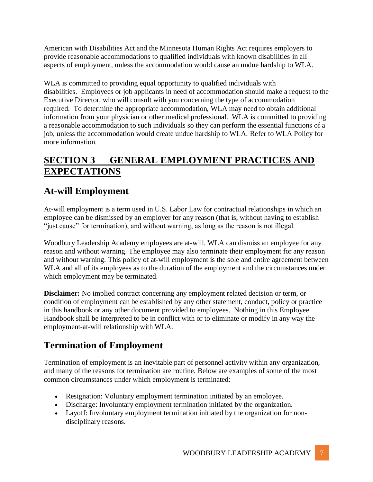American with Disabilities Act and the Minnesota Human Rights Act requires employers to provide reasonable accommodations to qualified individuals with known disabilities in all aspects of employment, unless the accommodation would cause an undue hardship to WLA.

WLA is committed to providing equal opportunity to qualified individuals with disabilities. Employees or job applicants in need of accommodation should make a request to the Executive Director, who will consult with you concerning the type of accommodation required. To determine the appropriate accommodation, WLA may need to obtain additional information from your physician or other medical professional. WLA is committed to providing a reasonable accommodation to such individuals so they can perform the essential functions of a job, unless the accommodation would create undue hardship to WLA. Refer to WLA Policy for more information.

# **SECTION 3 GENERAL EMPLOYMENT PRACTICES AND EXPECTATIONS**

## **At-will Employment**

At-will employment is a term used in U.S. Labor Law for contractual relationships in which an employee can be dismissed by an employer for any reason (that is, without having to establish "just cause" for termination), and without warning, as long as the reason is not illegal.

Woodbury Leadership Academy employees are at-will. WLA can dismiss an employee for any reason and without warning. The employee may also terminate their employment for any reason and without warning. This policy of at-will employment is the sole and entire agreement between WLA and all of its employees as to the duration of the employment and the circumstances under which employment may be terminated.

**Disclaimer:** No implied contract concerning any employment related decision or term, or condition of employment can be established by any other statement, conduct, policy or practice in this handbook or any other document provided to employees. Nothing in this Employee Handbook shall be interpreted to be in conflict with or to eliminate or modify in any way the employment-at-will relationship with WLA.

# **Termination of Employment**

Termination of employment is an inevitable part of personnel activity within any organization, and many of the reasons for termination are routine. Below are examples of some of the most common circumstances under which employment is terminated:

- Resignation: Voluntary employment termination initiated by an employee.
- Discharge: Involuntary employment termination initiated by the organization.
- Layoff: Involuntary employment termination initiated by the organization for nondisciplinary reasons.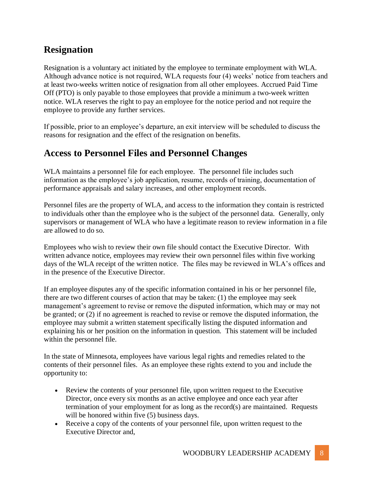# **Resignation**

Resignation is a voluntary act initiated by the employee to terminate employment with WLA. Although advance notice is not required, WLA requests four (4) weeks' notice from teachers and at least two-weeks written notice of resignation from all other employees. Accrued Paid Time Off (PTO) is only payable to those employees that provide a minimum a two-week written notice. WLA reserves the right to pay an employee for the notice period and not require the employee to provide any further services.

If possible, prior to an employee's departure, an exit interview will be scheduled to discuss the reasons for resignation and the effect of the resignation on benefits.

#### **Access to Personnel Files and Personnel Changes**

WLA maintains a personnel file for each employee. The personnel file includes such information as the employee's job application, resume, records of training, documentation of performance appraisals and salary increases, and other employment records.

Personnel files are the property of WLA, and access to the information they contain is restricted to individuals other than the employee who is the subject of the personnel data. Generally, only supervisors or management of WLA who have a legitimate reason to review information in a file are allowed to do so.

Employees who wish to review their own file should contact the Executive Director. With written advance notice, employees may review their own personnel files within five working days of the WLA receipt of the written notice. The files may be reviewed in WLA's offices and in the presence of the Executive Director.

If an employee disputes any of the specific information contained in his or her personnel file, there are two different courses of action that may be taken: (1) the employee may seek management's agreement to revise or remove the disputed information, which may or may not be granted; or (2) if no agreement is reached to revise or remove the disputed information, the employee may submit a written statement specifically listing the disputed information and explaining his or her position on the information in question. This statement will be included within the personnel file.

In the state of Minnesota, employees have various legal rights and remedies related to the contents of their personnel files. As an employee these rights extend to you and include the opportunity to:

- Review the contents of your personnel file, upon written request to the Executive Director, once every six months as an active employee and once each year after termination of your employment for as long as the record(s) are maintained. Requests will be honored within five (5) business days.
- Receive a copy of the contents of your personnel file, upon written request to the Executive Director and,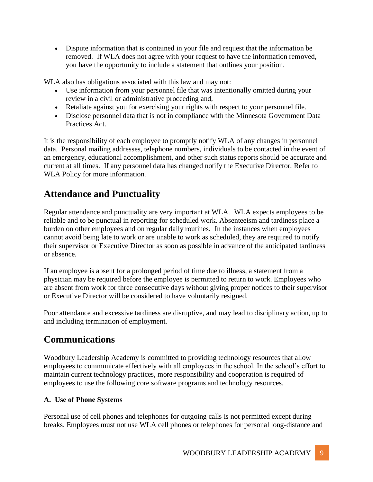• Dispute information that is contained in your file and request that the information be removed. If WLA does not agree with your request to have the information removed, you have the opportunity to include a statement that outlines your position.

WLA also has obligations associated with this law and may not:

- Use information from your personnel file that was intentionally omitted during your review in a civil or administrative proceeding and,
- Retaliate against you for exercising your rights with respect to your personnel file.
- Disclose personnel data that is not in compliance with the Minnesota Government Data Practices Act.

It is the responsibility of each employee to promptly notify WLA of any changes in personnel data. Personal mailing addresses, telephone numbers, individuals to be contacted in the event of an emergency, educational accomplishment, and other such status reports should be accurate and current at all times. If any personnel data has changed notify the Executive Director. Refer to WLA Policy for more information.

## **Attendance and Punctuality**

Regular attendance and punctuality are very important at WLA. WLA expects employees to be reliable and to be punctual in reporting for scheduled work. Absenteeism and tardiness place a burden on other employees and on regular daily routines. In the instances when employees cannot avoid being late to work or are unable to work as scheduled, they are required to notify their supervisor or Executive Director as soon as possible in advance of the anticipated tardiness or absence.

If an employee is absent for a prolonged period of time due to illness, a statement from a physician may be required before the employee is permitted to return to work. Employees who are absent from work for three consecutive days without giving proper notices to their supervisor or Executive Director will be considered to have voluntarily resigned.

Poor attendance and excessive tardiness are disruptive, and may lead to disciplinary action, up to and including termination of employment.

# **Communications**

Woodbury Leadership Academy is committed to providing technology resources that allow employees to communicate effectively with all employees in the school. In the school's effort to maintain current technology practices, more responsibility and cooperation is required of employees to use the following core software programs and technology resources.

#### **A. Use of Phone Systems**

Personal use of cell phones and telephones for outgoing calls is not permitted except during breaks. Employees must not use WLA cell phones or telephones for personal long-distance and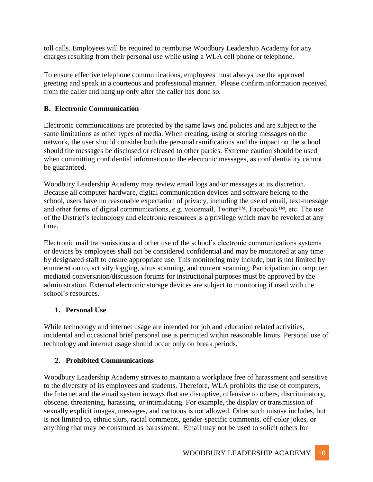toll calls. Employees will be required to reimburse Woodbury Leadership Academy for any charges resulting from their personal use while using a WLA cell phone or telephone.

To ensure effective telephone communications, employees must always use the approved greeting and speak in a courteous and professional manner. Please confirm information received from the caller and hang up only after the caller has done so.

#### **B. Electronic Communication**

Electronic communications are protected by the same laws and policies and are subject to the same limitations as other types of media. When creating, using or storing messages on the network, the user should consider both the personal ramifications and the impact on the school should the messages be disclosed or released to other parties. Extreme caution should be used when committing confidential information to the electronic messages, as confidentiality cannot be guaranteed.

Woodbury Leadership Academy may review email logs and/or messages at its discretion. Because all computer hardware, digital communication devices and software belong to the school, users have no reasonable expectation of privacy, including the use of email, text-message and other forms of digital communications, e.g. voicemail, Twitter™, Facebook™, etc. The use of the District's technology and electronic resources is a privilege which may be revoked at any time.

Electronic mail transmissions and other use of the school's electronic communications systems or devices by employees shall not be considered confidential and may be monitored at any time by designated staff to ensure appropriate use. This monitoring may include, but is not limited by enumeration to, activity logging, virus scanning, and content scanning. Participation in computer mediated conversation/discussion forums for instructional purposes must be approved by the administration. External electronic storage devices are subject to monitoring if used with the school's resources.

#### **1. Personal Use**

While technology and internet usage are intended for job and education related activities, incidental and occasional brief personal use is permitted within reasonable limits. Personal use of technology and internet usage should occur only on break periods.

#### **2. Prohibited Communications**

Woodbury Leadership Academy strives to maintain a workplace free of harassment and sensitive to the diversity of its employees and students. Therefore, WLA prohibits the use of computers, the Internet and the email system in ways that are disruptive, offensive to others, discriminatory, obscene, threatening, harassing, or intimidating. For example, the display or transmission of sexually explicit images, messages, and cartoons is not allowed. Other such misuse includes, but is not limited to, ethnic slurs, racial comments, gender-specific comments, off-color jokes, or anything that may be construed as harassment. Email may not be used to solicit others for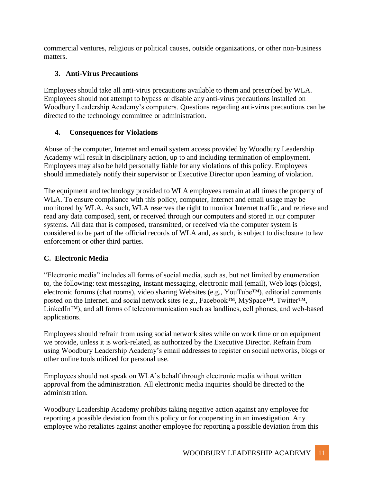commercial ventures, religious or political causes, outside organizations, or other non-business matters.

#### **3. Anti-Virus Precautions**

Employees should take all anti-virus precautions available to them and prescribed by WLA. Employees should not attempt to bypass or disable any anti-virus precautions installed on Woodbury Leadership Academy's computers. Questions regarding anti-virus precautions can be directed to the technology committee or administration.

#### **4. Consequences for Violations**

Abuse of the computer, Internet and email system access provided by Woodbury Leadership Academy will result in disciplinary action, up to and including termination of employment. Employees may also be held personally liable for any violations of this policy. Employees should immediately notify their supervisor or Executive Director upon learning of violation.

The equipment and technology provided to WLA employees remain at all times the property of WLA. To ensure compliance with this policy, computer, Internet and email usage may be monitored by WLA. As such, WLA reserves the right to monitor Internet traffic, and retrieve and read any data composed, sent, or received through our computers and stored in our computer systems. All data that is composed, transmitted, or received via the computer system is considered to be part of the official records of WLA and, as such, is subject to disclosure to law enforcement or other third parties.

#### **C. Electronic Media**

"Electronic media" includes all forms of social media, such as, but not limited by enumeration to, the following: text messaging, instant messaging, electronic mail (email), Web logs (blogs), electronic forums (chat rooms), video sharing Websites (e.g., YouTube™), editorial comments posted on the Internet, and social network sites (e.g., Facebook™, MySpace™, Twitter™, LinkedIn™), and all forms of telecommunication such as landlines, cell phones, and web-based applications.

Employees should refrain from using social network sites while on work time or on equipment we provide, unless it is work-related, as authorized by the Executive Director. Refrain from using Woodbury Leadership Academy's email addresses to register on social networks, blogs or other online tools utilized for personal use.

Employees should not speak on WLA's behalf through electronic media without written approval from the administration. All electronic media inquiries should be directed to the administration.

Woodbury Leadership Academy prohibits taking negative action against any employee for reporting a possible deviation from this policy or for cooperating in an investigation. Any employee who retaliates against another employee for reporting a possible deviation from this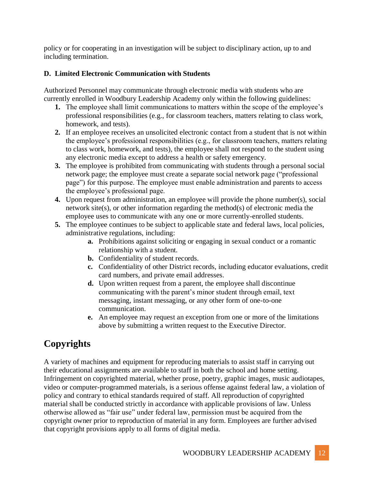policy or for cooperating in an investigation will be subject to disciplinary action, up to and including termination.

#### **D. Limited Electronic Communication with Students**

Authorized Personnel may communicate through electronic media with students who are currently enrolled in Woodbury Leadership Academy only within the following guidelines:

- **1.** The employee shall limit communications to matters within the scope of the employee's professional responsibilities (e.g., for classroom teachers, matters relating to class work, homework, and tests).
- **2.** If an employee receives an unsolicited electronic contact from a student that is not within the employee's professional responsibilities (e.g., for classroom teachers, matters relating to class work, homework, and tests), the employee shall not respond to the student using any electronic media except to address a health or safety emergency.
- **3.** The employee is prohibited from communicating with students through a personal social network page; the employee must create a separate social network page ("professional page") for this purpose. The employee must enable administration and parents to access the employee's professional page.
- **4.** Upon request from administration, an employee will provide the phone number(s), social network site(s), or other information regarding the method(s) of electronic media the employee uses to communicate with any one or more currently-enrolled students.
- **5.** The employee continues to be subject to applicable state and federal laws, local policies, administrative regulations, including:
	- **a.** Prohibitions against soliciting or engaging in sexual conduct or a romantic relationship with a student.
	- **b.** Confidentiality of student records.
	- **c.** Confidentiality of other District records, including educator evaluations, credit card numbers, and private email addresses.
	- **d.** Upon written request from a parent, the employee shall discontinue communicating with the parent's minor student through email, text messaging, instant messaging, or any other form of one-to-one communication.
	- **e.** An employee may request an exception from one or more of the limitations above by submitting a written request to the Executive Director.

# **Copyrights**

A variety of machines and equipment for reproducing materials to assist staff in carrying out their educational assignments are available to staff in both the school and home setting. Infringement on copyrighted material, whether prose, poetry, graphic images, music audiotapes, video or computer-programmed materials, is a serious offense against federal law, a violation of policy and contrary to ethical standards required of staff. All reproduction of copyrighted material shall be conducted strictly in accordance with applicable provisions of law. Unless otherwise allowed as "fair use" under federal law, permission must be acquired from the copyright owner prior to reproduction of material in any form. Employees are further advised that copyright provisions apply to all forms of digital media.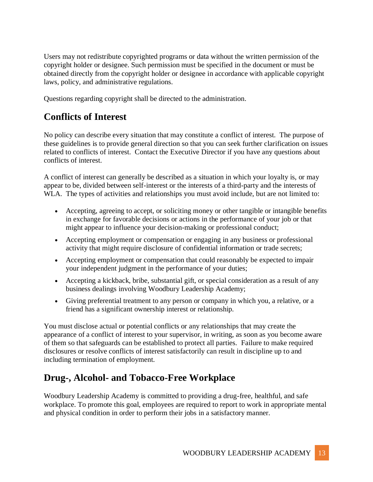Users may not redistribute copyrighted programs or data without the written permission of the copyright holder or designee. Such permission must be specified in the document or must be obtained directly from the copyright holder or designee in accordance with applicable copyright laws, policy, and administrative regulations.

Questions regarding copyright shall be directed to the administration.

## **Conflicts of Interest**

No policy can describe every situation that may constitute a conflict of interest. The purpose of these guidelines is to provide general direction so that you can seek further clarification on issues related to conflicts of interest. Contact the Executive Director if you have any questions about conflicts of interest.

A conflict of interest can generally be described as a situation in which your loyalty is, or may appear to be, divided between self-interest or the interests of a third-party and the interests of WLA. The types of activities and relationships you must avoid include, but are not limited to:

- Accepting, agreeing to accept, or soliciting money or other tangible or intangible benefits in exchange for favorable decisions or actions in the performance of your job or that might appear to influence your decision-making or professional conduct;
- Accepting employment or compensation or engaging in any business or professional activity that might require disclosure of confidential information or trade secrets;
- Accepting employment or compensation that could reasonably be expected to impair your independent judgment in the performance of your duties;
- Accepting a kickback, bribe, substantial gift, or special consideration as a result of any business dealings involving Woodbury Leadership Academy;
- Giving preferential treatment to any person or company in which you, a relative, or a friend has a significant ownership interest or relationship.

You must disclose actual or potential conflicts or any relationships that may create the appearance of a conflict of interest to your supervisor, in writing, as soon as you become aware of them so that safeguards can be established to protect all parties. Failure to make required disclosures or resolve conflicts of interest satisfactorily can result in discipline up to and including termination of employment.

# **Drug-, Alcohol- and Tobacco-Free Workplace**

Woodbury Leadership Academy is committed to providing a drug-free, healthful, and safe workplace. To promote this goal, employees are required to report to work in appropriate mental and physical condition in order to perform their jobs in a satisfactory manner.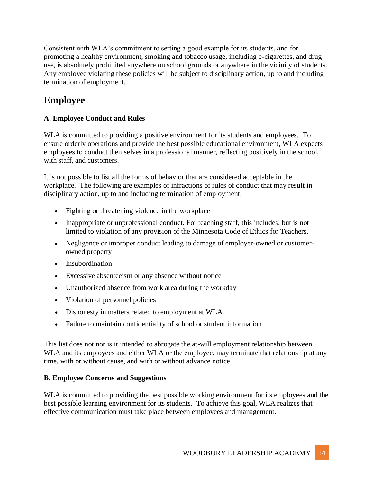Consistent with WLA's commitment to setting a good example for its students, and for promoting a healthy environment, smoking and tobacco usage, including e-cigarettes, and drug use, is absolutely prohibited anywhere on school grounds or anywhere in the vicinity of students. Any employee violating these policies will be subject to disciplinary action, up to and including termination of employment.

## **Employee**

#### **A. Employee Conduct and Rules**

WLA is committed to providing a positive environment for its students and employees. To ensure orderly operations and provide the best possible educational environment, WLA expects employees to conduct themselves in a professional manner, reflecting positively in the school, with staff, and customers.

It is not possible to list all the forms of behavior that are considered acceptable in the workplace. The following are examples of infractions of rules of conduct that may result in disciplinary action, up to and including termination of employment:

- Fighting or threatening violence in the workplace
- Inappropriate or unprofessional conduct. For teaching staff, this includes, but is not limited to violation of any provision of the Minnesota Code of Ethics for Teachers.
- Negligence or improper conduct leading to damage of employer-owned or customerowned property
- Insubordination
- Excessive absenteeism or any absence without notice
- Unauthorized absence from work area during the workday
- Violation of personnel policies
- Dishonesty in matters related to employment at WLA
- Failure to maintain confidentiality of school or student information

This list does not nor is it intended to abrogate the at-will employment relationship between WLA and its employees and either WLA or the employee, may terminate that relationship at any time, with or without cause, and with or without advance notice.

#### **B. Employee Concerns and Suggestions**

WLA is committed to providing the best possible working environment for its employees and the best possible learning environment for its students. To achieve this goal, WLA realizes that effective communication must take place between employees and management.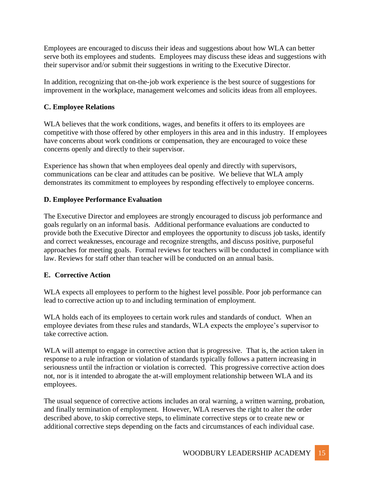Employees are encouraged to discuss their ideas and suggestions about how WLA can better serve both its employees and students. Employees may discuss these ideas and suggestions with their supervisor and/or submit their suggestions in writing to the Executive Director.

In addition, recognizing that on-the-job work experience is the best source of suggestions for improvement in the workplace, management welcomes and solicits ideas from all employees.

#### **C. Employee Relations**

WLA believes that the work conditions, wages, and benefits it offers to its employees are competitive with those offered by other employers in this area and in this industry. If employees have concerns about work conditions or compensation, they are encouraged to voice these concerns openly and directly to their supervisor.

Experience has shown that when employees deal openly and directly with supervisors, communications can be clear and attitudes can be positive. We believe that WLA amply demonstrates its commitment to employees by responding effectively to employee concerns.

#### **D. Employee Performance Evaluation**

The Executive Director and employees are strongly encouraged to discuss job performance and goals regularly on an informal basis. Additional performance evaluations are conducted to provide both the Executive Director and employees the opportunity to discuss job tasks, identify and correct weaknesses, encourage and recognize strengths, and discuss positive, purposeful approaches for meeting goals. Formal reviews for teachers will be conducted in compliance with law. Reviews for staff other than teacher will be conducted on an annual basis.

#### **E. Corrective Action**

WLA expects all employees to perform to the highest level possible. Poor job performance can lead to corrective action up to and including termination of employment.

WLA holds each of its employees to certain work rules and standards of conduct. When an employee deviates from these rules and standards, WLA expects the employee's supervisor to take corrective action.

WLA will attempt to engage in corrective action that is progressive. That is, the action taken in response to a rule infraction or violation of standards typically follows a pattern increasing in seriousness until the infraction or violation is corrected. This progressive corrective action does not, nor is it intended to abrogate the at-will employment relationship between WLA and its employees.

The usual sequence of corrective actions includes an oral warning, a written warning, probation, and finally termination of employment. However, WLA reserves the right to alter the order described above, to skip corrective steps, to eliminate corrective steps or to create new or additional corrective steps depending on the facts and circumstances of each individual case.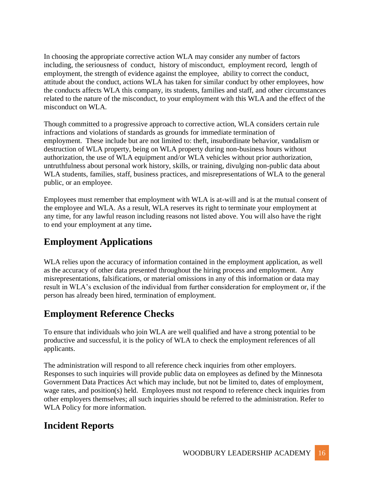In choosing the appropriate corrective action WLA may consider any number of factors including, the seriousness of conduct, history of misconduct, employment record, length of employment, the strength of evidence against the employee, ability to correct the conduct, attitude about the conduct, actions WLA has taken for similar conduct by other employees, how the conducts affects WLA this company, its students, families and staff, and other circumstances related to the nature of the misconduct, to your employment with this WLA and the effect of the misconduct on WLA.

Though committed to a progressive approach to corrective action, WLA considers certain rule infractions and violations of standards as grounds for immediate termination of employment. These include but are not limited to: theft, insubordinate behavior, vandalism or destruction of WLA property, being on WLA property during non-business hours without authorization, the use of WLA equipment and/or WLA vehicles without prior authorization, untruthfulness about personal work history, skills, or training, divulging non-public data about WLA students, families, staff, business practices, and misrepresentations of WLA to the general public, or an employee.

Employees must remember that employment with WLA is at-will and is at the mutual consent of the employee and WLA. As a result, WLA reserves its right to terminate your employment at any time, for any lawful reason including reasons not listed above. You will also have the right to end your employment at any time**.** 

# **Employment Applications**

WLA relies upon the accuracy of information contained in the employment application, as well as the accuracy of other data presented throughout the hiring process and employment. Any misrepresentations, falsifications, or material omissions in any of this information or data may result in WLA's exclusion of the individual from further consideration for employment or, if the person has already been hired, termination of employment.

# **Employment Reference Checks**

To ensure that individuals who join WLA are well qualified and have a strong potential to be productive and successful, it is the policy of WLA to check the employment references of all applicants.

The administration will respond to all reference check inquiries from other employers. Responses to such inquiries will provide public data on employees as defined by the Minnesota Government Data Practices Act which may include, but not be limited to, dates of employment, wage rates, and position(s) held. Employees must not respond to reference check inquiries from other employers themselves; all such inquiries should be referred to the administration. Refer to WLA Policy for more information.

## **Incident Reports**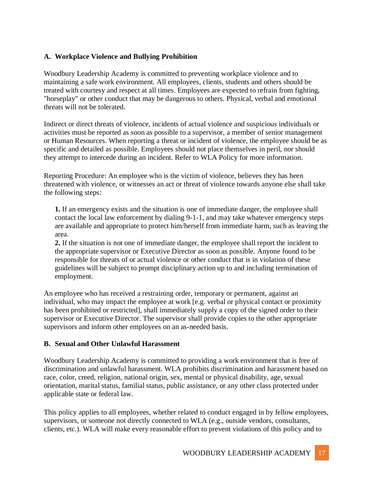#### **A. Workplace Violence and Bullying Prohibition**

Woodbury Leadership Academy is committed to preventing workplace violence and to maintaining a safe work environment. All employees, clients, students and others should be treated with courtesy and respect at all times. Employees are expected to refrain from fighting, "horseplay" or other conduct that may be dangerous to others. Physical, verbal and emotional threats will not be tolerated.

Indirect or direct threats of violence, incidents of actual violence and suspicious individuals or activities must be reported as soon as possible to a supervisor, a member of senior management or Human Resources. When reporting a threat or incident of violence, the employee should be as specific and detailed as possible. Employees should not place themselves in peril, nor should they attempt to intercede during an incident. Refer to WLA Policy for more information.

Reporting Procedure: An employee who is the victim of violence, believes they has been threatened with violence, or witnesses an act or threat of violence towards anyone else shall take the following steps:

**1.** If an emergency exists and the situation is one of immediate danger, the employee shall contact the local law enforcement by dialing 9-1-1, and may take whatever emergency steps are available and appropriate to protect him/herself from immediate harm, such as leaving the area.

**2.** If the situation is not one of immediate danger, the employee shall report the incident to the appropriate supervisor or Executive Director as soon as possible. Anyone found to be responsible for threats of or actual violence or other conduct that is in violation of these guidelines will be subject to prompt disciplinary action up to and including termination of employment.

An employee who has received a restraining order, temporary or permanent, against an individual, who may impact the employee at work [e.g. verbal or physical contact or proximity has been prohibited or restricted], shall immediately supply a copy of the signed order to their supervisor or Executive Director. The supervisor shall provide copies to the other appropriate supervisors and inform other employees on an as-needed basis.

#### **B. Sexual and Other Unlawful Harassment**

Woodbury Leadership Academy is committed to providing a work environment that is free of discrimination and unlawful harassment. WLA prohibits discrimination and harassment based on race, color, creed, religion, national origin, sex, mental or physical disability, age, sexual orientation, marital status, familial status, public assistance, or any other class protected under applicable state or federal law.

This policy applies to all employees, whether related to conduct engaged in by fellow employees, supervisors, or someone not directly connected to WLA (e.g., outside vendors, consultants, clients, etc.). WLA will make every reasonable effort to prevent violations of this policy and to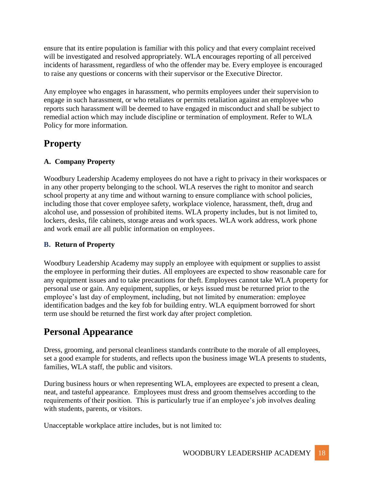ensure that its entire population is familiar with this policy and that every complaint received will be investigated and resolved appropriately. WLA encourages reporting of all perceived incidents of harassment, regardless of who the offender may be. Every employee is encouraged to raise any questions or concerns with their supervisor or the Executive Director.

Any employee who engages in harassment, who permits employees under their supervision to engage in such harassment, or who retaliates or permits retaliation against an employee who reports such harassment will be deemed to have engaged in misconduct and shall be subject to remedial action which may include discipline or termination of employment. Refer to WLA Policy for more information.

## **Property**

#### **A. Company Property**

Woodbury Leadership Academy employees do not have a right to privacy in their workspaces or in any other property belonging to the school. WLA reserves the right to monitor and search school property at any time and without warning to ensure compliance with school policies, including those that cover employee safety, workplace violence, harassment, theft, drug and alcohol use, and possession of prohibited items. WLA property includes, but is not limited to, lockers, desks, file cabinets, storage areas and work spaces. WLA work address, work phone and work email are all public information on employees.

#### **B. Return of Property**

Woodbury Leadership Academy may supply an employee with equipment or supplies to assist the employee in performing their duties. All employees are expected to show reasonable care for any equipment issues and to take precautions for theft. Employees cannot take WLA property for personal use or gain. Any equipment, supplies, or keys issued must be returned prior to the employee's last day of employment, including, but not limited by enumeration: employee identification badges and the key fob for building entry. WLA equipment borrowed for short term use should be returned the first work day after project completion.

## **Personal Appearance**

Dress, grooming, and personal cleanliness standards contribute to the morale of all employees, set a good example for students, and reflects upon the business image WLA presents to students, families, WLA staff, the public and visitors.

During business hours or when representing WLA, employees are expected to present a clean, neat, and tasteful appearance. Employees must dress and groom themselves according to the requirements of their position. This is particularly true if an employee's job involves dealing with students, parents, or visitors.

Unacceptable workplace attire includes, but is not limited to: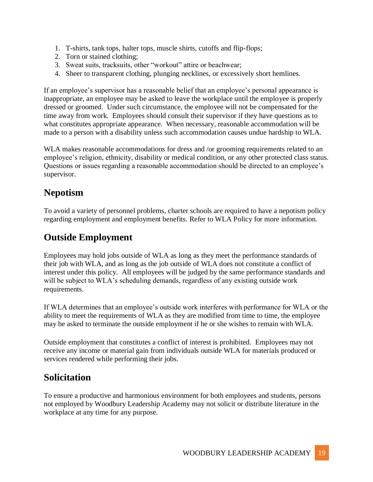- 1. T-shirts, tank tops, halter tops, muscle shirts, cutoffs and flip-flops;
- 2. Torn or stained clothing;
- 3. Sweat suits, tracksuits, other "workout" attire or beachwear;
- 4. Sheer to transparent clothing, plunging necklines, or excessively short hemlines.

If an employee's supervisor has a reasonable belief that an employee's personal appearance is inappropriate, an employee may be asked to leave the workplace until the employee is properly dressed or groomed. Under such circumstance, the employee will not be compensated for the time away from work. Employees should consult their supervisor if they have questions as to what constitutes appropriate appearance. When necessary, reasonable accommodation will be made to a person with a disability unless such accommodation causes undue hardship to WLA.

WLA makes reasonable accommodations for dress and /or grooming requirements related to an employee's religion, ethnicity, disability or medical condition, or any other protected class status. Questions or issues regarding a reasonable accommodation should be directed to an employee's supervisor.

#### **Nepotism**

To avoid a variety of personnel problems, charter schools are required to have a nepotism policy regarding employment and employment benefits. Refer to WLA Policy for more information.

## **Outside Employment**

Employees may hold jobs outside of WLA as long as they meet the performance standards of their job with WLA, and as long as the job outside of WLA does not constitute a conflict of interest under this policy. All employees will be judged by the same performance standards and will be subject to WLA's scheduling demands, regardless of any existing outside work requirements.

If WLA determines that an employee's outside work interferes with performance for WLA or the ability to meet the requirements of WLA as they are modified from time to time, the employee may be asked to terminate the outside employment if he or she wishes to remain with WLA.

Outside employment that constitutes a conflict of interest is prohibited. Employees may not receive any income or material gain from individuals outside WLA for materials produced or services rendered while performing their jobs.

#### **Solicitation**

To ensure a productive and harmonious environment for both employees and students, persons not employed by Woodbury Leadership Academy may not solicit or distribute literature in the workplace at any time for any purpose.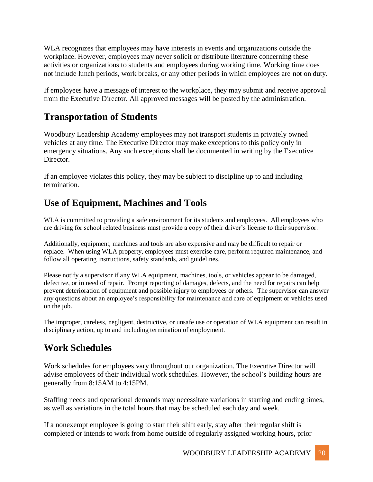WLA recognizes that employees may have interests in events and organizations outside the workplace. However, employees may never solicit or distribute literature concerning these activities or organizations to students and employees during working time. Working time does not include lunch periods, work breaks, or any other periods in which employees are not on duty.

If employees have a message of interest to the workplace, they may submit and receive approval from the Executive Director. All approved messages will be posted by the administration.

#### **Transportation of Students**

Woodbury Leadership Academy employees may not transport students in privately owned vehicles at any time. The Executive Director may make exceptions to this policy only in emergency situations. Any such exceptions shall be documented in writing by the Executive Director.

If an employee violates this policy, they may be subject to discipline up to and including termination.

## **Use of Equipment, Machines and Tools**

WLA is committed to providing a safe environment for its students and employees. All employees who are driving for school related business must provide a copy of their driver's license to their supervisor.

Additionally, equipment, machines and tools are also expensive and may be difficult to repair or replace. When using WLA property, employees must exercise care, perform required maintenance, and follow all operating instructions, safety standards, and guidelines.

Please notify a supervisor if any WLA equipment, machines, tools, or vehicles appear to be damaged, defective, or in need of repair. Prompt reporting of damages, defects, and the need for repairs can help prevent deterioration of equipment and possible injury to employees or others. The supervisor can answer any questions about an employee's responsibility for maintenance and care of equipment or vehicles used on the job.

The improper, careless, negligent, destructive, or unsafe use or operation of WLA equipment can result in disciplinary action, up to and including termination of employment.

## **Work Schedules**

Work schedules for employees vary throughout our organization. The Executive Director will advise employees of their individual work schedules. However, the school's building hours are generally from 8:15AM to 4:15PM.

Staffing needs and operational demands may necessitate variations in starting and ending times, as well as variations in the total hours that may be scheduled each day and week.

If a nonexempt employee is going to start their shift early, stay after their regular shift is completed or intends to work from home outside of regularly assigned working hours, prior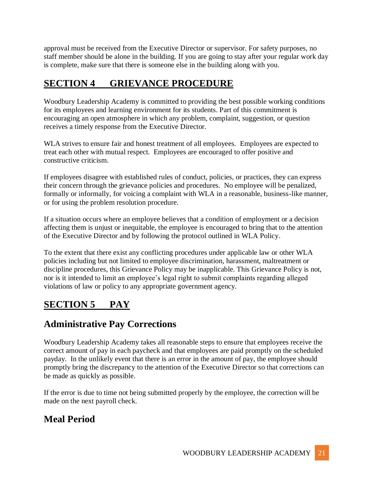approval must be received from the Executive Director or supervisor. For safety purposes, no staff member should be alone in the building. If you are going to stay after your regular work day is complete, make sure that there is someone else in the building along with you.

# **SECTION 4 GRIEVANCE PROCEDURE**

Woodbury Leadership Academy is committed to providing the best possible working conditions for its employees and learning environment for its students. Part of this commitment is encouraging an open atmosphere in which any problem, complaint, suggestion, or question receives a timely response from the Executive Director.

WLA strives to ensure fair and honest treatment of all employees. Employees are expected to treat each other with mutual respect. Employees are encouraged to offer positive and constructive criticism.

If employees disagree with established rules of conduct, policies, or practices, they can express their concern through the grievance policies and procedures. No employee will be penalized, formally or informally, for voicing a complaint with WLA in a reasonable, business-like manner, or for using the problem resolution procedure.

If a situation occurs where an employee believes that a condition of employment or a decision affecting them is unjust or inequitable, the employee is encouraged to bring that to the attention of the Executive Director and by following the protocol outlined in WLA Policy.

To the extent that there exist any conflicting procedures under applicable law or other WLA policies including but not limited to employee discrimination, harassment, maltreatment or discipline procedures, this Grievance Policy may be inapplicable. This Grievance Policy is not, nor is it intended to limit an employee's legal right to submit complaints regarding alleged violations of law or policy to any appropriate government agency.

# **SECTION 5 PAY**

## **Administrative Pay Corrections**

Woodbury Leadership Academy takes all reasonable steps to ensure that employees receive the correct amount of pay in each paycheck and that employees are paid promptly on the scheduled payday. In the unlikely event that there is an error in the amount of pay, the employee should promptly bring the discrepancy to the attention of the Executive Director so that corrections can be made as quickly as possible.

If the error is due to time not being submitted properly by the employee, the correction will be made on the next payroll check.

# **Meal Period**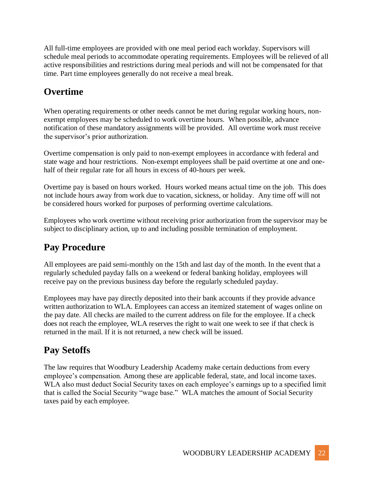All full-time employees are provided with one meal period each workday. Supervisors will schedule meal periods to accommodate operating requirements. Employees will be relieved of all active responsibilities and restrictions during meal periods and will not be compensated for that time. Part time employees generally do not receive a meal break.

## **Overtime**

When operating requirements or other needs cannot be met during regular working hours, nonexempt employees may be scheduled to work overtime hours. When possible, advance notification of these mandatory assignments will be provided. All overtime work must receive the supervisor's prior authorization.

Overtime compensation is only paid to non-exempt employees in accordance with federal and state wage and hour restrictions. Non-exempt employees shall be paid overtime at one and onehalf of their regular rate for all hours in excess of 40-hours per week.

Overtime pay is based on hours worked. Hours worked means actual time on the job. This does not include hours away from work due to vacation, sickness, or holiday. Any time off will not be considered hours worked for purposes of performing overtime calculations.

Employees who work overtime without receiving prior authorization from the supervisor may be subject to disciplinary action, up to and including possible termination of employment.

# **Pay Procedure**

All employees are paid semi-monthly on the 15th and last day of the month. In the event that a regularly scheduled payday falls on a weekend or federal banking holiday, employees will receive pay on the previous business day before the regularly scheduled payday.

Employees may have pay directly deposited into their bank accounts if they provide advance written authorization to WLA. Employees can access an itemized statement of wages online on the pay date. All checks are mailed to the current address on file for the employee. If a check does not reach the employee, WLA reserves the right to wait one week to see if that check is returned in the mail. If it is not returned, a new check will be issued.

## **Pay Setoffs**

The law requires that Woodbury Leadership Academy make certain deductions from every employee's compensation. Among these are applicable federal, state, and local income taxes. WLA also must deduct Social Security taxes on each employee's earnings up to a specified limit that is called the Social Security "wage base." WLA matches the amount of Social Security taxes paid by each employee.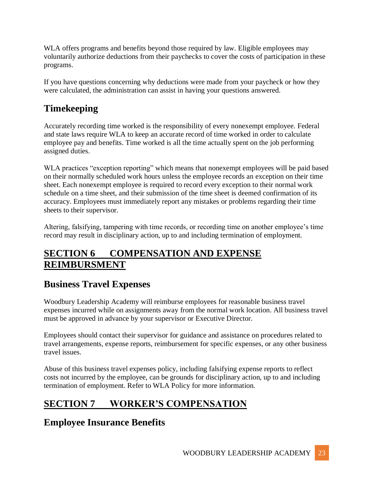WLA offers programs and benefits beyond those required by law. Eligible employees may voluntarily authorize deductions from their paychecks to cover the costs of participation in these programs.

If you have questions concerning why deductions were made from your paycheck or how they were calculated, the administration can assist in having your questions answered.

# **Timekeeping**

Accurately recording time worked is the responsibility of every nonexempt employee. Federal and state laws require WLA to keep an accurate record of time worked in order to calculate employee pay and benefits. Time worked is all the time actually spent on the job performing assigned duties.

WLA practices "exception reporting" which means that nonexempt employees will be paid based on their normally scheduled work hours unless the employee records an exception on their time sheet. Each nonexempt employee is required to record every exception to their normal work schedule on a time sheet, and their submission of the time sheet is deemed confirmation of its accuracy. Employees must immediately report any mistakes or problems regarding their time sheets to their supervisor.

Altering, falsifying, tampering with time records, or recording time on another employee's time record may result in disciplinary action, up to and including termination of employment.

# **SECTION 6 COMPENSATION AND EXPENSE REIMBURSMENT**

# **Business Travel Expenses**

Woodbury Leadership Academy will reimburse employees for reasonable business travel expenses incurred while on assignments away from the normal work location. All business travel must be approved in advance by your supervisor or Executive Director.

Employees should contact their supervisor for guidance and assistance on procedures related to travel arrangements, expense reports, reimbursement for specific expenses, or any other business travel issues.

Abuse of this business travel expenses policy, including falsifying expense reports to reflect costs not incurred by the employee, can be grounds for disciplinary action, up to and including termination of employment. Refer to WLA Policy for more information.

# **SECTION 7 WORKER'S COMPENSATION**

# **Employee Insurance Benefits**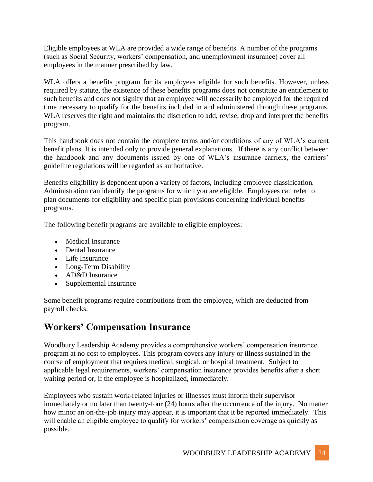Eligible employees at WLA are provided a wide range of benefits. A number of the programs (such as Social Security, workers' compensation, and unemployment insurance) cover all employees in the manner prescribed by law.

WLA offers a benefits program for its employees eligible for such benefits. However, unless required by statute, the existence of these benefits programs does not constitute an entitlement to such benefits and does not signify that an employee will necessarily be employed for the required time necessary to qualify for the benefits included in and administered through these programs. WLA reserves the right and maintains the discretion to add, revise, drop and interpret the benefits program.

This handbook does not contain the complete terms and/or conditions of any of WLA's current benefit plans. It is intended only to provide general explanations. If there is any conflict between the handbook and any documents issued by one of WLA's insurance carriers, the carriers' guideline regulations will be regarded as authoritative.

Benefits eligibility is dependent upon a variety of factors, including employee classification. Administration can identify the programs for which you are eligible. Employees can refer to plan documents for eligibility and specific plan provisions concerning individual benefits programs.

The following benefit programs are available to eligible employees:

- Medical Insurance
- Dental Insurance
- Life Insurance
- Long-Term Disability
- AD&D Insurance
- Supplemental Insurance

Some benefit programs require contributions from the employee, which are deducted from payroll checks.

# **Workers' Compensation Insurance**

Woodbury Leadership Academy provides a comprehensive workers' compensation insurance program at no cost to employees. This program covers any injury or illness sustained in the course of employment that requires medical, surgical, or hospital treatment. Subject to applicable legal requirements, workers' compensation insurance provides benefits after a short waiting period or, if the employee is hospitalized, immediately.

Employees who sustain work-related injuries or illnesses must inform their supervisor immediately or no later than twenty-four (24) hours after the occurrence of the injury. No matter how minor an on-the-job injury may appear, it is important that it be reported immediately. This will enable an eligible employee to qualify for workers' compensation coverage as quickly as possible.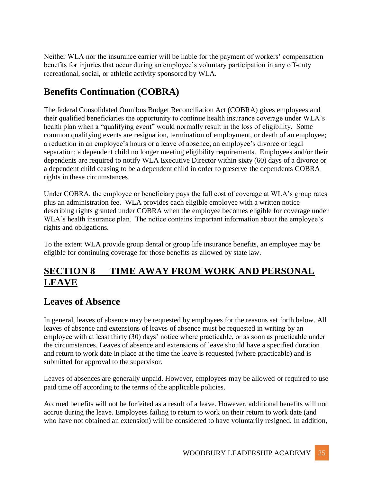Neither WLA nor the insurance carrier will be liable for the payment of workers' compensation benefits for injuries that occur during an employee's voluntary participation in any off-duty recreational, social, or athletic activity sponsored by WLA.

# **Benefits Continuation (COBRA)**

The federal Consolidated Omnibus Budget Reconciliation Act (COBRA) gives employees and their qualified beneficiaries the opportunity to continue health insurance coverage under WLA's health plan when a "qualifying event" would normally result in the loss of eligibility. Some common qualifying events are resignation, termination of employment, or death of an employee; a reduction in an employee's hours or a leave of absence; an employee's divorce or legal separation; a dependent child no longer meeting eligibility requirements. Employees and/or their dependents are required to notify WLA Executive Director within sixty (60) days of a divorce or a dependent child ceasing to be a dependent child in order to preserve the dependents COBRA rights in these circumstances.

Under COBRA, the employee or beneficiary pays the full cost of coverage at WLA's group rates plus an administration fee. WLA provides each eligible employee with a written notice describing rights granted under COBRA when the employee becomes eligible for coverage under WLA's health insurance plan. The notice contains important information about the employee's rights and obligations.

To the extent WLA provide group dental or group life insurance benefits, an employee may be eligible for continuing coverage for those benefits as allowed by state law.

## **SECTION 8 TIME AWAY FROM WORK AND PERSONAL LEAVE**

## **Leaves of Absence**

In general, leaves of absence may be requested by employees for the reasons set forth below. All leaves of absence and extensions of leaves of absence must be requested in writing by an employee with at least thirty (30) days' notice where practicable, or as soon as practicable under the circumstances. Leaves of absence and extensions of leave should have a specified duration and return to work date in place at the time the leave is requested (where practicable) and is submitted for approval to the supervisor.

Leaves of absences are generally unpaid. However, employees may be allowed or required to use paid time off according to the terms of the applicable policies.

Accrued benefits will not be forfeited as a result of a leave. However, additional benefits will not accrue during the leave. Employees failing to return to work on their return to work date (and who have not obtained an extension) will be considered to have voluntarily resigned. In addition,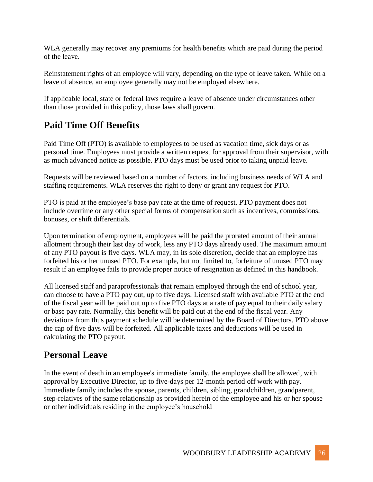WLA generally may recover any premiums for health benefits which are paid during the period of the leave.

Reinstatement rights of an employee will vary, depending on the type of leave taken. While on a leave of absence, an employee generally may not be employed elsewhere.

If applicable local, state or federal laws require a leave of absence under circumstances other than those provided in this policy, those laws shall govern.

## **Paid Time Off Benefits**

Paid Time Off (PTO) is available to employees to be used as vacation time, sick days or as personal time. Employees must provide a written request for approval from their supervisor, with as much advanced notice as possible. PTO days must be used prior to taking unpaid leave.

Requests will be reviewed based on a number of factors, including business needs of WLA and staffing requirements. WLA reserves the right to deny or grant any request for PTO.

PTO is paid at the employee's base pay rate at the time of request. PTO payment does not include overtime or any other special forms of compensation such as incentives, commissions, bonuses, or shift differentials.

Upon termination of employment, employees will be paid the prorated amount of their annual allotment through their last day of work, less any PTO days already used. The maximum amount of any PTO payout is five days. WLA may, in its sole discretion, decide that an employee has forfeited his or her unused PTO. For example, but not limited to, forfeiture of unused PTO may result if an employee fails to provide proper notice of resignation as defined in this handbook.

All licensed staff and paraprofessionals that remain employed through the end of school year, can choose to have a PTO pay out, up to five days. Licensed staff with available PTO at the end of the fiscal year will be paid out up to five PTO days at a rate of pay equal to their daily salary or base pay rate. Normally, this benefit will be paid out at the end of the fiscal year. Any deviations from thus payment schedule will be determined by the Board of Directors. PTO above the cap of five days will be forfeited. All applicable taxes and deductions will be used in calculating the PTO payout.

## **Personal Leave**

In the event of death in an employee's immediate family, the employee shall be allowed, with approval by Executive Director, up to five-days per 12-month period off work with pay. Immediate family includes the spouse, parents, children, sibling, grandchildren, grandparent, step-relatives of the same relationship as provided herein of the employee and his or her spouse or other individuals residing in the employee's household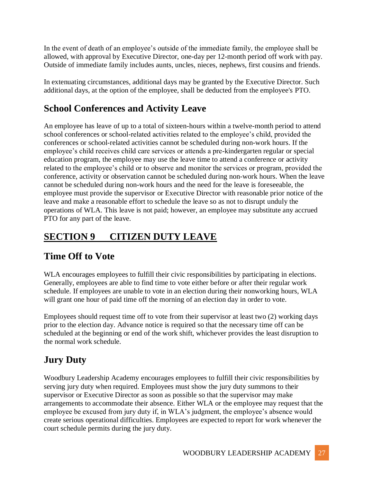In the event of death of an employee's outside of the immediate family, the employee shall be allowed, with approval by Executive Director, one-day per 12-month period off work with pay. Outside of immediate family includes aunts, uncles, nieces, nephews, first cousins and friends.

In extenuating circumstances, additional days may be granted by the Executive Director. Such additional days, at the option of the employee, shall be deducted from the employee's PTO.

# **School Conferences and Activity Leave**

An employee has leave of up to a total of sixteen-hours within a twelve-month period to attend school conferences or school-related activities related to the employee's child, provided the conferences or school-related activities cannot be scheduled during non-work hours. If the employee's child receives child care services or attends a pre-kindergarten regular or special education program, the employee may use the leave time to attend a conference or activity related to the employee's child or to observe and monitor the services or program, provided the conference, activity or observation cannot be scheduled during non-work hours. When the leave cannot be scheduled during non-work hours and the need for the leave is foreseeable, the employee must provide the supervisor or Executive Director with reasonable prior notice of the leave and make a reasonable effort to schedule the leave so as not to disrupt unduly the operations of WLA. This leave is not paid; however, an employee may substitute any accrued PTO for any part of the leave.

# **SECTION 9 CITIZEN DUTY LEAVE**

## **Time Off to Vote**

WLA encourages employees to fulfill their civic responsibilities by participating in elections. Generally, employees are able to find time to vote either before or after their regular work schedule. If employees are unable to vote in an election during their nonworking hours, WLA will grant one hour of paid time off the morning of an election day in order to vote.

Employees should request time off to vote from their supervisor at least two (2) working days prior to the election day. Advance notice is required so that the necessary time off can be scheduled at the beginning or end of the work shift, whichever provides the least disruption to the normal work schedule.

# **Jury Duty**

Woodbury Leadership Academy encourages employees to fulfill their civic responsibilities by serving jury duty when required. Employees must show the jury duty summons to their supervisor or Executive Director as soon as possible so that the supervisor may make arrangements to accommodate their absence. Either WLA or the employee may request that the employee be excused from jury duty if, in WLA's judgment, the employee's absence would create serious operational difficulties. Employees are expected to report for work whenever the court schedule permits during the jury duty.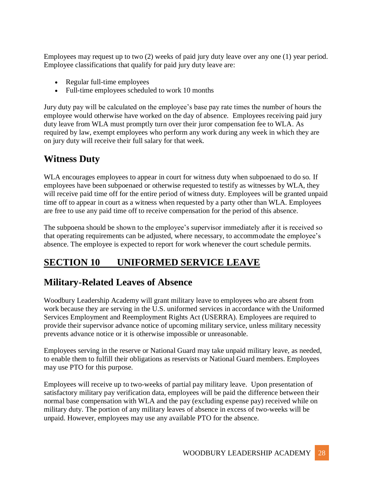Employees may request up to two (2) weeks of paid jury duty leave over any one (1) year period. Employee classifications that qualify for paid jury duty leave are:

- Regular full-time employees
- Full-time employees scheduled to work 10 months

Jury duty pay will be calculated on the employee's base pay rate times the number of hours the employee would otherwise have worked on the day of absence. Employees receiving paid jury duty leave from WLA must promptly turn over their juror compensation fee to WLA. As required by law, exempt employees who perform any work during any week in which they are on jury duty will receive their full salary for that week.

#### **Witness Duty**

WLA encourages employees to appear in court for witness duty when subpoenaed to do so. If employees have been subpoenaed or otherwise requested to testify as witnesses by WLA, they will receive paid time off for the entire period of witness duty. Employees will be granted unpaid time off to appear in court as a witness when requested by a party other than WLA. Employees are free to use any paid time off to receive compensation for the period of this absence.

The subpoena should be shown to the employee's supervisor immediately after it is received so that operating requirements can be adjusted, where necessary, to accommodate the employee's absence. The employee is expected to report for work whenever the court schedule permits.

## **SECTION 10 UNIFORMED SERVICE LEAVE**

#### **Military-Related Leaves of Absence**

Woodbury Leadership Academy will grant military leave to employees who are absent from work because they are serving in the U.S. uniformed services in accordance with the Uniformed Services Employment and Reemployment Rights Act (USERRA). Employees are required to provide their supervisor advance notice of upcoming military service, unless military necessity prevents advance notice or it is otherwise impossible or unreasonable.

Employees serving in the reserve or National Guard may take unpaid military leave, as needed, to enable them to fulfill their obligations as reservists or National Guard members. Employees may use PTO for this purpose.

Employees will receive up to two-weeks of partial pay military leave. Upon presentation of satisfactory military pay verification data, employees will be paid the difference between their normal base compensation with WLA and the pay (excluding expense pay) received while on military duty. The portion of any military leaves of absence in excess of two-weeks will be unpaid. However, employees may use any available PTO for the absence.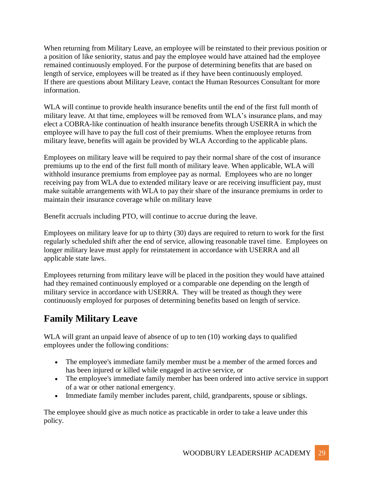When returning from Military Leave, an employee will be reinstated to their previous position or a position of like seniority, status and pay the employee would have attained had the employee remained continuously employed. For the purpose of determining benefits that are based on length of service, employees will be treated as if they have been continuously employed. If there are questions about Military Leave, contact the Human Resources Consultant for more information.

WLA will continue to provide health insurance benefits until the end of the first full month of military leave. At that time, employees will be removed from WLA's insurance plans, and may elect a COBRA-like continuation of health insurance benefits through USERRA in which the employee will have to pay the full cost of their premiums. When the employee returns from military leave, benefits will again be provided by WLA According to the applicable plans.

Employees on military leave will be required to pay their normal share of the cost of insurance premiums up to the end of the first full month of military leave. When applicable, WLA will withhold insurance premiums from employee pay as normal. Employees who are no longer receiving pay from WLA due to extended military leave or are receiving insufficient pay, must make suitable arrangements with WLA to pay their share of the insurance premiums in order to maintain their insurance coverage while on military leave

Benefit accruals including PTO, will continue to accrue during the leave.

Employees on military leave for up to thirty (30) days are required to return to work for the first regularly scheduled shift after the end of service, allowing reasonable travel time. Employees on longer military leave must apply for reinstatement in accordance with USERRA and all applicable state laws.

Employees returning from military leave will be placed in the position they would have attained had they remained continuously employed or a comparable one depending on the length of military service in accordance with USERRA. They will be treated as though they were continuously employed for purposes of determining benefits based on length of service.

# **Family Military Leave**

WLA will grant an unpaid leave of absence of up to ten (10) working days to qualified employees under the following conditions:

- The employee's immediate family member must be a member of the armed forces and has been injured or killed while engaged in active service, or
- The employee's immediate family member has been ordered into active service in support of a war or other national emergency.
- Immediate family member includes parent, child, grandparents, spouse or siblings.

The employee should give as much notice as practicable in order to take a leave under this policy.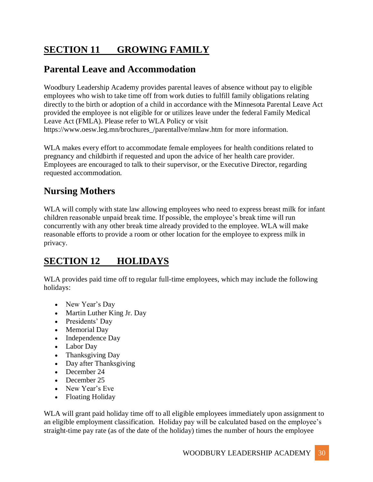# **SECTION 11 GROWING FAMILY**

## **Parental Leave and Accommodation**

Woodbury Leadership Academy provides parental leaves of absence without pay to eligible employees who wish to take time off from work duties to fulfill family obligations relating directly to the birth or adoption of a child in accordance with the Minnesota Parental Leave Act provided the employee is not eligible for or utilizes leave under the federal Family Medical Leave Act (FMLA). Please refer to WLA Policy or visit https://www.oesw.leg.mn/brochures\_/parentallve/mnlaw.htm for more information.

WLA makes every effort to accommodate female employees for health conditions related to pregnancy and childbirth if requested and upon the advice of her health care provider. Employees are encouraged to talk to their supervisor, or the Executive Director, regarding requested accommodation.

# **Nursing Mothers**

WLA will comply with state law allowing employees who need to express breast milk for infant children reasonable unpaid break time. If possible, the employee's break time will run concurrently with any other break time already provided to the employee. WLA will make reasonable efforts to provide a room or other location for the employee to express milk in privacy.

# **SECTION 12 HOLIDAYS**

WLA provides paid time off to regular full-time employees, which may include the following holidays:

- New Year's Day
- Martin Luther King Jr. Day
- Presidents' Day
- Memorial Day
- Independence Day
- Labor Day
- Thanksgiving Day
- Day after Thanksgiving
- December 24
- December 25
- New Year's Eve
- Floating Holiday

WLA will grant paid holiday time off to all eligible employees immediately upon assignment to an eligible employment classification. Holiday pay will be calculated based on the employee's straight-time pay rate (as of the date of the holiday) times the number of hours the employee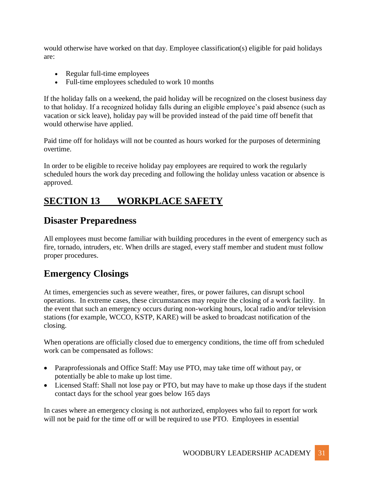would otherwise have worked on that day. Employee classification(s) eligible for paid holidays are:

- Regular full-time employees
- Full-time employees scheduled to work 10 months

If the holiday falls on a weekend, the paid holiday will be recognized on the closest business day to that holiday. If a recognized holiday falls during an eligible employee's paid absence (such as vacation or sick leave), holiday pay will be provided instead of the paid time off benefit that would otherwise have applied.

Paid time off for holidays will not be counted as hours worked for the purposes of determining overtime.

In order to be eligible to receive holiday pay employees are required to work the regularly scheduled hours the work day preceding and following the holiday unless vacation or absence is approved.

# **SECTION 13 WORKPLACE SAFETY**

## **Disaster Preparedness**

All employees must become familiar with building procedures in the event of emergency such as fire, tornado, intruders, etc. When drills are staged, every staff member and student must follow proper procedures.

# **Emergency Closings**

At times, emergencies such as severe weather, fires, or power failures, can disrupt school operations. In extreme cases, these circumstances may require the closing of a work facility. In the event that such an emergency occurs during non-working hours, local radio and/or television stations (for example, WCCO, KSTP, KARE) will be asked to broadcast notification of the closing.

When operations are officially closed due to emergency conditions, the time off from scheduled work can be compensated as follows:

- Paraprofessionals and Office Staff: May use PTO, may take time off without pay, or potentially be able to make up lost time.
- Licensed Staff: Shall not lose pay or PTO, but may have to make up those days if the student contact days for the school year goes below 165 days

In cases where an emergency closing is not authorized, employees who fail to report for work will not be paid for the time off or will be required to use PTO. Employees in essential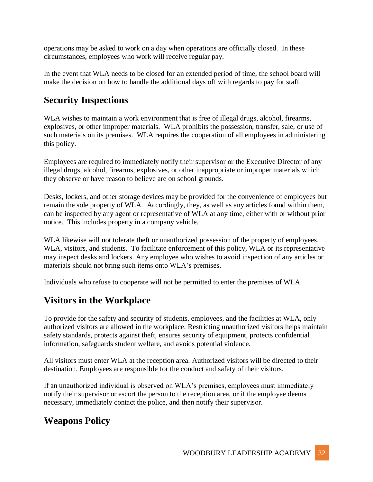operations may be asked to work on a day when operations are officially closed. In these circumstances, employees who work will receive regular pay.

In the event that WLA needs to be closed for an extended period of time, the school board will make the decision on how to handle the additional days off with regards to pay for staff.

#### **Security Inspections**

WLA wishes to maintain a work environment that is free of illegal drugs, alcohol, firearms, explosives, or other improper materials. WLA prohibits the possession, transfer, sale, or use of such materials on its premises. WLA requires the cooperation of all employees in administering this policy.

Employees are required to immediately notify their supervisor or the Executive Director of any illegal drugs, alcohol, firearms, explosives, or other inappropriate or improper materials which they observe or have reason to believe are on school grounds.

Desks, lockers, and other storage devices may be provided for the convenience of employees but remain the sole property of WLA. Accordingly, they, as well as any articles found within them, can be inspected by any agent or representative of WLA at any time, either with or without prior notice. This includes property in a company vehicle.

WLA likewise will not tolerate theft or unauthorized possession of the property of employees, WLA, visitors, and students. To facilitate enforcement of this policy, WLA or its representative may inspect desks and lockers. Any employee who wishes to avoid inspection of any articles or materials should not bring such items onto WLA's premises.

Individuals who refuse to cooperate will not be permitted to enter the premises of WLA.

## **Visitors in the Workplace**

To provide for the safety and security of students, employees, and the facilities at WLA, only authorized visitors are allowed in the workplace. Restricting unauthorized visitors helps maintain safety standards, protects against theft, ensures security of equipment, protects confidential information, safeguards student welfare, and avoids potential violence.

All visitors must enter WLA at the reception area. Authorized visitors will be directed to their destination. Employees are responsible for the conduct and safety of their visitors.

If an unauthorized individual is observed on WLA's premises, employees must immediately notify their supervisor or escort the person to the reception area, or if the employee deems necessary, immediately contact the police, and then notify their supervisor.

## **Weapons Policy**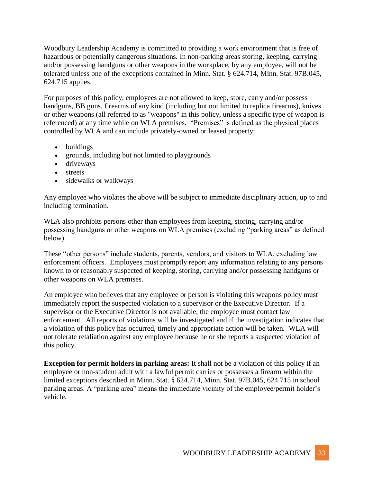Woodbury Leadership Academy is committed to providing a work environment that is free of hazardous or potentially dangerous situations. In non-parking areas storing, keeping, carrying and/or possessing handguns or other weapons in the workplace, by any employee, will not be tolerated unless one of the exceptions contained in Minn. Stat. § 624.714, Minn. Stat. 97B.045, 624.715 applies.

For purposes of this policy, employees are not allowed to keep, store, carry and/or possess handguns, BB guns, firearms of any kind (including but not limited to replica firearms), knives or other weapons (all referred to as "weapons" in this policy, unless a specific type of weapon is referenced) at any time while on WLA premises. "Premises" is defined as the physical places controlled by WLA and can include privately-owned or leased property:

- buildings
- grounds, including but not limited to playgrounds
- driveways
- streets
- sidewalks or walkways

Any employee who violates the above will be subject to immediate disciplinary action, up to and including termination.

WLA also prohibits persons other than employees from keeping, storing, carrying and/or possessing handguns or other weapons on WLA premises (excluding "parking areas" as defined below).

These "other persons" include students, parents, vendors, and visitors to WLA, excluding law enforcement officers. Employees must promptly report any information relating to any persons known to or reasonably suspected of keeping, storing, carrying and/or possessing handguns or other weapons on WLA premises.

An employee who believes that any employee or person is violating this weapons policy must immediately report the suspected violation to a supervisor or the Executive Director. If a supervisor or the Executive Director is not available, the employee must contact law enforcement. All reports of violations will be investigated and if the investigation indicates that a violation of this policy has occurred, timely and appropriate action will be taken. WLA will not tolerate retaliation against any employee because he or she reports a suspected violation of this policy.

**Exception for permit holders in parking areas:** It shall not be a violation of this policy if an employee or non-student adult with a lawful permit carries or possesses a firearm within the limited exceptions described in Minn. Stat. § 624.714, Minn. Stat. 97B.045, 624.715 in school parking areas. A "parking area" means the immediate vicinity of the employee/permit holder's vehicle.